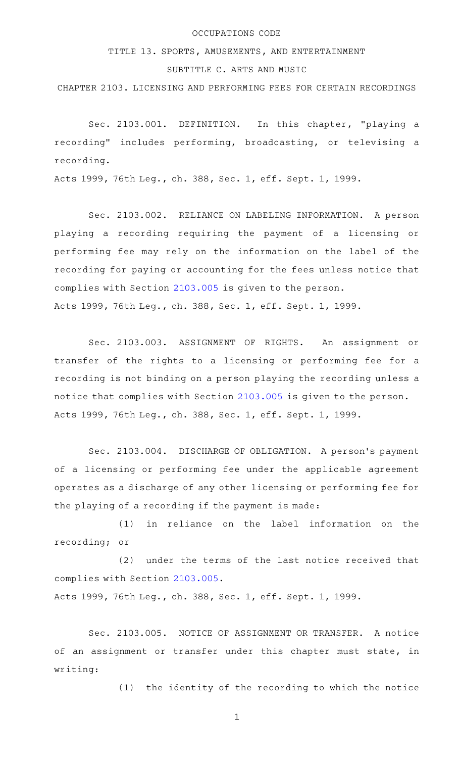## OCCUPATIONS CODE

TITLE 13. SPORTS, AMUSEMENTS, AND ENTERTAINMENT

## SUBTITLE C. ARTS AND MUSIC

CHAPTER 2103. LICENSING AND PERFORMING FEES FOR CERTAIN RECORDINGS

Sec. 2103.001. DEFINITION. In this chapter, "playing a recording" includes performing, broadcasting, or televising a recording.

Acts 1999, 76th Leg., ch. 388, Sec. 1, eff. Sept. 1, 1999.

Sec. 2103.002. RELIANCE ON LABELING INFORMATION. A person playing a recording requiring the payment of a licensing or performing fee may rely on the information on the label of the recording for paying or accounting for the fees unless notice that complies with Section [2103.005](http://www.statutes.legis.state.tx.us/GetStatute.aspx?Code=OC&Value=2103.005) is given to the person. Acts 1999, 76th Leg., ch. 388, Sec. 1, eff. Sept. 1, 1999.

Sec. 2103.003. ASSIGNMENT OF RIGHTS. An assignment or transfer of the rights to a licensing or performing fee for a recording is not binding on a person playing the recording unless a notice that complies with Section [2103.005](http://www.statutes.legis.state.tx.us/GetStatute.aspx?Code=OC&Value=2103.005) is given to the person. Acts 1999, 76th Leg., ch. 388, Sec. 1, eff. Sept. 1, 1999.

Sec. 2103.004. DISCHARGE OF OBLIGATION. A person's payment of a licensing or performing fee under the applicable agreement operates as a discharge of any other licensing or performing fee for the playing of a recording if the payment is made:

(1) in reliance on the label information on the recording; or

(2) under the terms of the last notice received that complies with Section [2103.005.](http://www.statutes.legis.state.tx.us/GetStatute.aspx?Code=OC&Value=2103.005)

Acts 1999, 76th Leg., ch. 388, Sec. 1, eff. Sept. 1, 1999.

Sec. 2103.005. NOTICE OF ASSIGNMENT OR TRANSFER. A notice of an assignment or transfer under this chapter must state, in writing:

(1) the identity of the recording to which the notice

1